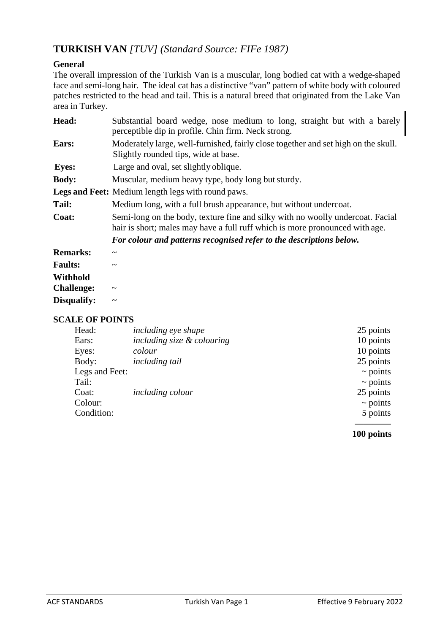# **TURKISH VAN** *[TUV] (Standard Source: FIFe 1987)*

## **General**

The overall impression of the Turkish Van is a muscular, long bodied cat with a wedge-shaped face and semi-long hair. The ideal cat has a distinctive "van" pattern of white body with coloured patches restricted to the head and tail. This is a natural breed that originated from the Lake Van area in Turkey.

| Head:             | Substantial board wedge, nose medium to long, straight but with a barely<br>perceptible dip in profile. Chin firm. Neck strong.                                |  |
|-------------------|----------------------------------------------------------------------------------------------------------------------------------------------------------------|--|
| Ears:             | Moderately large, well-furnished, fairly close together and set high on the skull.<br>Slightly rounded tips, wide at base.                                     |  |
| <b>Eyes:</b>      | Large and oval, set slightly oblique.                                                                                                                          |  |
| <b>Body:</b>      | Muscular, medium heavy type, body long but sturdy.                                                                                                             |  |
|                   | Legs and Feet: Medium length legs with round paws.                                                                                                             |  |
| Tail:             | Medium long, with a full brush appearance, but without undercoat.                                                                                              |  |
| Coat:             | Semi-long on the body, texture fine and silky with no woolly undercoat. Facial<br>hair is short; males may have a full ruff which is more pronounced with age. |  |
|                   | For colour and patterns recognised refer to the descriptions below.                                                                                            |  |
| <b>Remarks:</b>   | $\tilde{\phantom{a}}$                                                                                                                                          |  |
| <b>Faults:</b>    | $\tilde{\phantom{a}}$                                                                                                                                          |  |
| Withhold          |                                                                                                                                                                |  |
| <b>Challenge:</b> | $\tilde{\phantom{a}}$                                                                                                                                          |  |
| Disqualify:       | $\tilde{\phantom{a}}$                                                                                                                                          |  |

### **SCALE OF POINTS**

| Head:          | <i>including eye shape</i> | 25 points     |
|----------------|----------------------------|---------------|
| Ears:          | including size & colouring | 10 points     |
| Eyes:          | colour                     | 10 points     |
| Body:          | <i>including tail</i>      | 25 points     |
| Legs and Feet: |                            | $\sim$ points |
| Tail:          |                            | $\sim$ points |
| Coat:          | <i>including colour</i>    | 25 points     |
| Colour:        |                            | $\sim$ points |
| Condition:     |                            | 5 points      |
|                |                            |               |

#### **100 points**